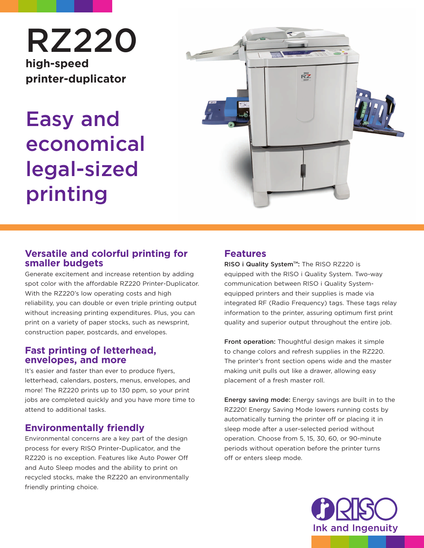**RZ220 high-speed printer-duplicator**

**Easy and economical legal-sized printing**



### **Versatile and colorful printing for smaller budgets**

Generate excitement and increase retention by adding spot color with the affordable RZ220 Printer-Duplicator. With the RZ220's low operating costs and high reliability, you can double or even triple printing output without increasing printing expenditures. Plus, you can print on a variety of paper stocks, such as newsprint, construction paper, postcards, and envelopes.

#### **Fast printing of letterhead, envelopes, and more**

It's easier and faster than ever to produce flyers, letterhead, calendars, posters, menus, envelopes, and more! The RZ220 prints up to 130 ppm, so your print jobs are completed quickly and you have more time to attend to additional tasks.

# **Environmentally friendly**

Environmental concerns are a key part of the design process for every RISO Printer-Duplicator, and the RZ220 is no exception. Features like Auto Power Off and Auto Sleep modes and the ability to print on recycled stocks, make the RZ220 an environmentally friendly printing choice.

## **Features**

**RISO i Quality System™: The RISO RZ220 is** equipped with the RISO i Quality System. Two-way communication between RISO i Quality Systemequipped printers and their supplies is made via integrated RF (Radio Frequency) tags. These tags relay information to the printer, assuring optimum first print quality and superior output throughout the entire job.

**Front operation:** Thoughtful design makes it simple to change colors and refresh supplies in the RZ220. The printer's front section opens wide and the master making unit pulls out like a drawer, allowing easy placement of a fresh master roll.

**Energy saving mode:** Energy savings are built in to the RZ220! Energy Saving Mode lowers running costs by automatically turning the printer off or placing it in sleep mode after a user-selected period without operation. Choose from 5, 15, 30, 60, or 90-minute periods without operation before the printer turns off or enters sleep mode.